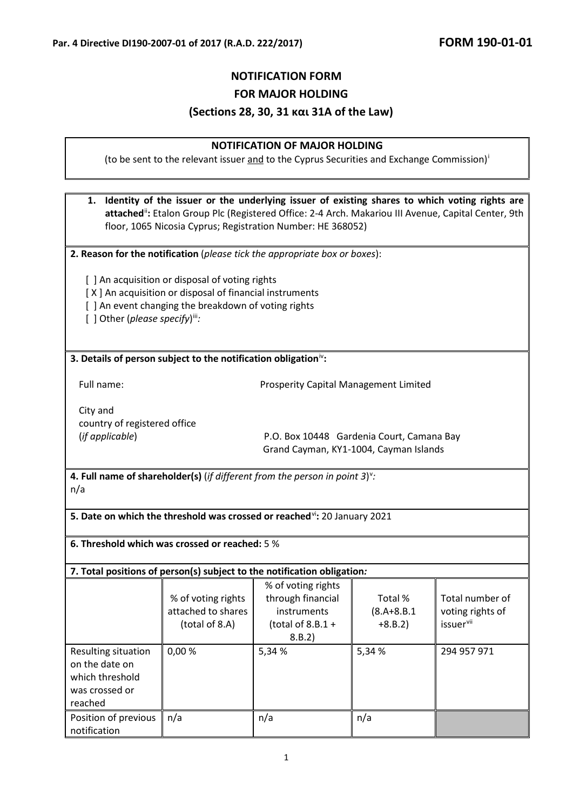# **NOTIFICATION FORM FOR MAJOR HOLDING (Sections 28, 30, 31 και 31A of the Law)**

### **NOTIFICATION OF MAJOR HOLDING**

(to be sent to the relevant [i](#page-1-0)ssuer and to the Cyprus Securities and Exchange Commission)

**1. Identity of the issuer or the underlying issuer of existing shares to which voting rights are**  attached<sup>[ii](#page-1-1)</sup>: Etalon Group Plc (Registered Office: 2-4 Arch. Makariou III Avenue, Capital Center, 9th floor, 1065 Nicosia Cyprus; Registration Number: HE 368052)

**2. Reason for the notification** (*please tick the appropriate box or boxes*):

[ ] An acquisition or disposal of voting rights

- [  $X$  ] An acquisition or disposal of financial instruments
- [ ] An event changing the breakdown of voting rights

[ ] Other (please specify)<sup>[iii](#page-1-2)</sup>:

#### **3. Details of person subject to the notification obligation**[iv](#page-1-3)**:**

Full name: Prosperity Capital Management Limited

City and country of registered office

(*if applicable*) P.O. Box 10448 Gardenia Court, Camana Bay Grand Cayman, KY1-1004, Cayman Islands

**4. Full name of shareholder(s)** (*if different from the person in point 3*) [v](#page-1-4) *:* n/a

**5. Date on which the threshold was crossed or reached<sup>[vi](#page-2-0)</sup>: 20 January 2021** 

**6. Threshold which was crossed or reached:** 5 %

| 7. Total positions of person(s) subject to the notification obligation:               |                                                            |                                                                                         |                                         |                                                              |
|---------------------------------------------------------------------------------------|------------------------------------------------------------|-----------------------------------------------------------------------------------------|-----------------------------------------|--------------------------------------------------------------|
|                                                                                       | % of voting rights<br>attached to shares<br>(total of 8.A) | % of voting rights<br>through financial<br>instruments<br>(total of $8.8.1 +$<br>8.B.2) | Total %<br>$(8.A + 8.B.1)$<br>$+8.B.2)$ | Total number of<br>voting rights of<br>issuer <sup>vii</sup> |
| Resulting situation<br>on the date on<br>which threshold<br>was crossed or<br>reached | 0,00%                                                      | 5,34 %                                                                                  | 5,34 %                                  | 294 957 971                                                  |
| Position of previous<br>notification                                                  | n/a                                                        | n/a                                                                                     | n/a                                     |                                                              |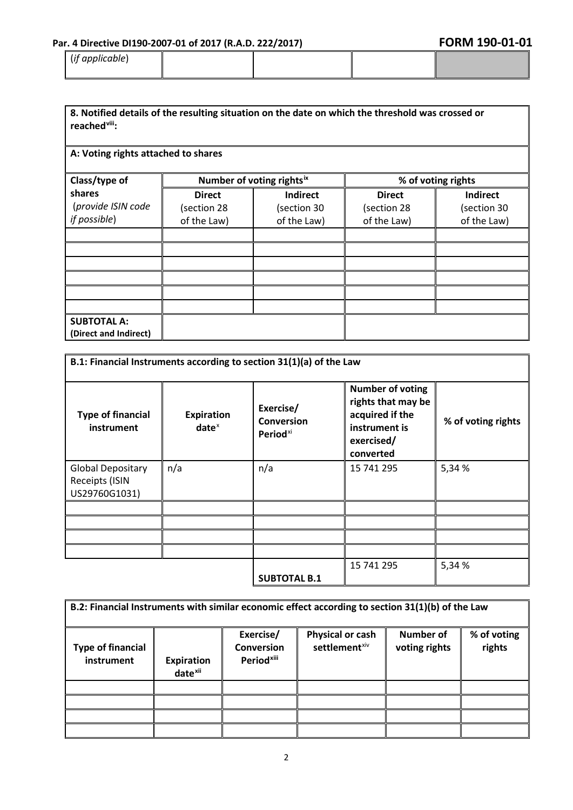# Par. 4 Directive DI190-2007-01 of 2017 (R.A.D. 222/2017) **FORM 190-01-01**

| FORM 190-01-01 |  |  |
|----------------|--|--|
|----------------|--|--|

| $\cdot$ .<br>(if applicable) |  |  |
|------------------------------|--|--|
|                              |  |  |

| 8. Notified details of the resulting situation on the date on which the threshold was crossed or |  |
|--------------------------------------------------------------------------------------------------|--|
| reached <sup>viii</sup> :                                                                        |  |

## **A: Voting rights attached to shares**

<span id="page-1-0"></span>

| Class/type of         | Number of voting rightsix |                 | % of voting rights |                 |
|-----------------------|---------------------------|-----------------|--------------------|-----------------|
| shares                | <b>Direct</b>             | <b>Indirect</b> | <b>Direct</b>      | <b>Indirect</b> |
| (provide ISIN code    | (section 28               | (section 30     | (section 28        | (section 30     |
| if possible)          | of the Law)               | of the Law)     | of the Law)        | of the Law)     |
|                       |                           |                 |                    |                 |
|                       |                           |                 |                    |                 |
|                       |                           |                 |                    |                 |
|                       |                           |                 |                    |                 |
|                       |                           |                 |                    |                 |
|                       |                           |                 |                    |                 |
| <b>SUBTOTAL A:</b>    |                           |                 |                    |                 |
| (Direct and Indirect) |                           |                 |                    |                 |

<span id="page-1-3"></span><span id="page-1-2"></span><span id="page-1-1"></span>

| B.1: Financial Instruments according to section 31(1)(a) of the Law |                        |                                                 |                                                                                                              |                    |
|---------------------------------------------------------------------|------------------------|-------------------------------------------------|--------------------------------------------------------------------------------------------------------------|--------------------|
| <b>Type of financial</b><br>instrument                              | Expiration<br>$date^x$ | Exercise/<br>Conversion<br>Period <sup>xi</sup> | <b>Number of voting</b><br>rights that may be<br>acquired if the<br>instrument is<br>exercised/<br>converted | % of voting rights |
| <b>Global Depositary</b>                                            | n/a                    | n/a                                             | 15 741 295                                                                                                   | 5,34 %             |
| Receipts (ISIN                                                      |                        |                                                 |                                                                                                              |                    |
| US29760G1031)                                                       |                        |                                                 |                                                                                                              |                    |
|                                                                     |                        |                                                 |                                                                                                              |                    |
|                                                                     |                        |                                                 |                                                                                                              |                    |
|                                                                     |                        |                                                 |                                                                                                              |                    |
|                                                                     |                        |                                                 |                                                                                                              |                    |
|                                                                     |                        |                                                 | 15 741 295                                                                                                   | 5,34 %             |
|                                                                     |                        | <b>SUBTOTAL B.1</b>                             |                                                                                                              |                    |

<span id="page-1-4"></span>

| B.2: Financial Instruments with similar economic effect according to section 31(1)(b) of the Law |                                          |                                                          |                                               |                            |                       |
|--------------------------------------------------------------------------------------------------|------------------------------------------|----------------------------------------------------------|-----------------------------------------------|----------------------------|-----------------------|
| <b>Type of financial</b><br>instrument                                                           | <b>Expiration</b><br>date <sup>xii</sup> | Exercise/<br><b>Conversion</b><br>Period <sup>xiii</sup> | Physical or cash<br>settlement <sup>xiv</sup> | Number of<br>voting rights | % of voting<br>rights |
|                                                                                                  |                                          |                                                          |                                               |                            |                       |
|                                                                                                  |                                          |                                                          |                                               |                            |                       |
|                                                                                                  |                                          |                                                          |                                               |                            |                       |
|                                                                                                  |                                          |                                                          |                                               |                            |                       |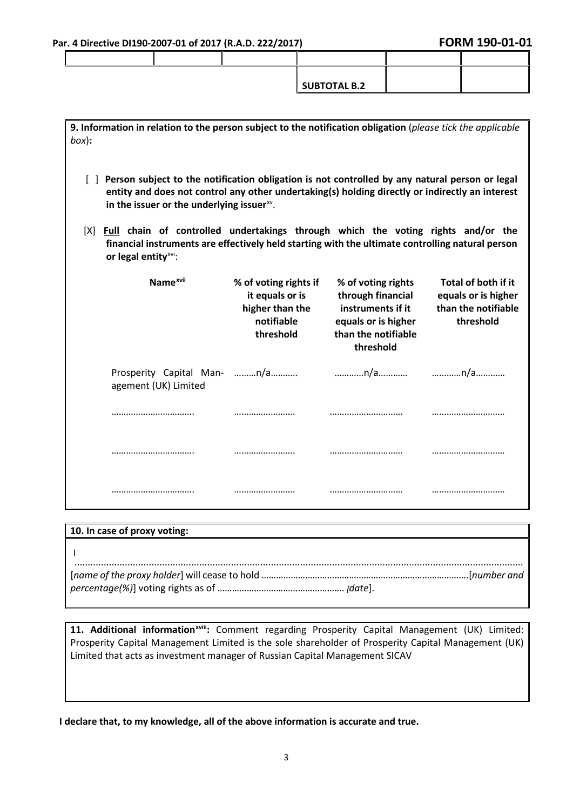| <b>SUBTOTAL B.2</b> |  |
|---------------------|--|

<span id="page-2-6"></span><span id="page-2-5"></span><span id="page-2-4"></span><span id="page-2-3"></span><span id="page-2-2"></span><span id="page-2-1"></span><span id="page-2-0"></span>

| 9. Information in relation to the person subject to the notification obligation (please tick the applicable<br>$box)$ :                                                                                                         |                                                                                                                                                                                                                                                       |                                                                                                                         |                                                                                |  |  |
|---------------------------------------------------------------------------------------------------------------------------------------------------------------------------------------------------------------------------------|-------------------------------------------------------------------------------------------------------------------------------------------------------------------------------------------------------------------------------------------------------|-------------------------------------------------------------------------------------------------------------------------|--------------------------------------------------------------------------------|--|--|
|                                                                                                                                                                                                                                 | Person subject to the notification obligation is not controlled by any natural person or legal<br>entity and does not control any other undertaking(s) holding directly or indirectly an interest<br>in the issuer or the underlying issuer $^{xy}$ . |                                                                                                                         |                                                                                |  |  |
| Full chain of controlled undertakings through which the voting rights and/or the<br>[X]<br>financial instruments are effectively held starting with the ultimate controlling natural person<br>or legal entity <sup>xvi</sup> : |                                                                                                                                                                                                                                                       |                                                                                                                         |                                                                                |  |  |
| Name <sup>xvii</sup>                                                                                                                                                                                                            | % of voting rights if<br>it equals or is<br>higher than the<br>notifiable<br>threshold                                                                                                                                                                | % of voting rights<br>through financial<br>instruments if it<br>equals or is higher<br>than the notifiable<br>threshold | Total of both if it<br>equals or is higher<br>than the notifiable<br>threshold |  |  |
| Prosperity Capital Man- n/a<br>agement (UK) Limited                                                                                                                                                                             |                                                                                                                                                                                                                                                       | n/a                                                                                                                     | n/a                                                                            |  |  |
|                                                                                                                                                                                                                                 |                                                                                                                                                                                                                                                       |                                                                                                                         |                                                                                |  |  |
|                                                                                                                                                                                                                                 |                                                                                                                                                                                                                                                       |                                                                                                                         |                                                                                |  |  |
|                                                                                                                                                                                                                                 |                                                                                                                                                                                                                                                       |                                                                                                                         |                                                                                |  |  |

<span id="page-2-12"></span><span id="page-2-11"></span><span id="page-2-10"></span><span id="page-2-9"></span><span id="page-2-8"></span><span id="page-2-7"></span>

| 10. In case of proxy voting:                                                                |  |
|---------------------------------------------------------------------------------------------|--|
|                                                                                             |  |
| [  name of the proxy holder] will cease to hold ……………………………………………………………………………………[number and |  |
|                                                                                             |  |

11. Additional information<sup>xviii</sup>[:](#page-2-12) Comment regarding Prosperity Capital Management (UK) Limited: Prosperity Capital Management Limited is the sole shareholder of Prosperity Capital Management (UK) Limited that acts as investment manager of Russian Capital Management SICAV

**I declare that, to my knowledge, all of the above information is accurate and true.**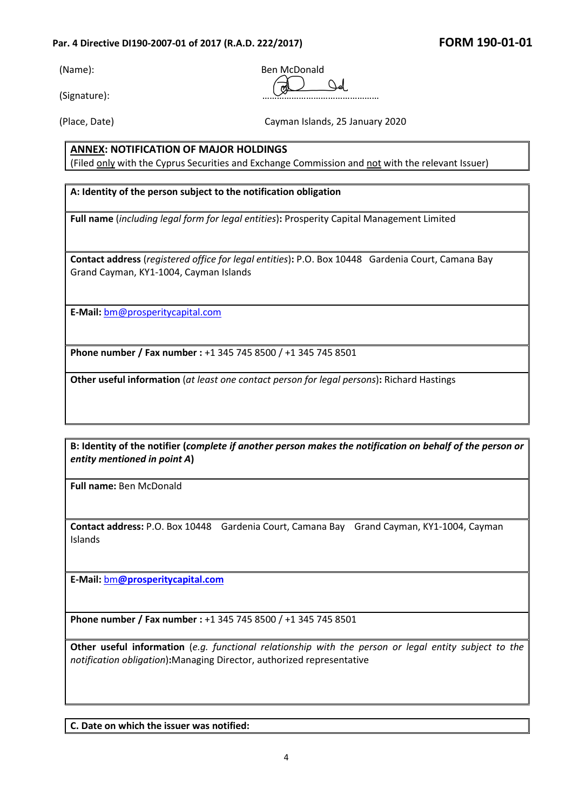## Par. 4 Directive DI190-2007-01 of 2017 (R.A.D. 222/2017) **FORM 190-01-01**

(Signature): …………………………………………

(Name): Ben McDonald  $\mathcal{L}$  $\overline{m}$ 

(Place, Date) Cayman Islands, 25 January 2020

# **ANNEX: NOTIFICATION OF MAJOR HOLDINGS**

(Filed only with the Cyprus Securities and Exchange Commission and not with the relevant Issuer)

## **Α: Identity of the person subject to the notification obligation**

**Full name** (*including legal form for legal entities*)**:** Prosperity Capital Management Limited

**Contact address** (*registered office for legal entities*)**:** P.O. Box 10448 Gardenia Court, Camana Bay Grand Cayman, KY1-1004, Cayman Islands

**E-Mail:** [bm@prosperitycapital.com](mailto:bm@prosperitycapital.com)

**Phone number / Fax number :** +1 345 745 8500 / +1 345 745 8501

**Other useful information** (*at least one contact person for legal persons*)**:** Richard Hastings

**Β: Identity of the notifier (***complete if another person makes the notification on behalf of the person or entity mentioned in point Α***)** 

**Full name:** Ben McDonald

**Contact address:** P.O. Box 10448 Gardenia Court, Camana Bay Grand Cayman, KY1-1004, Cayman Islands

**E-Mail:** bm**[@prosperitycapital.com](mailto:bm@prosperitycapital.com)**

**Phone number / Fax number :** +1 345 745 8500 / +1 345 745 8501

**Other useful information** (*e.g. functional relationship with the person or legal entity subject to the notification obligation*)**:**Managing Director, authorized representative

**C. Date on which the issuer was notified:**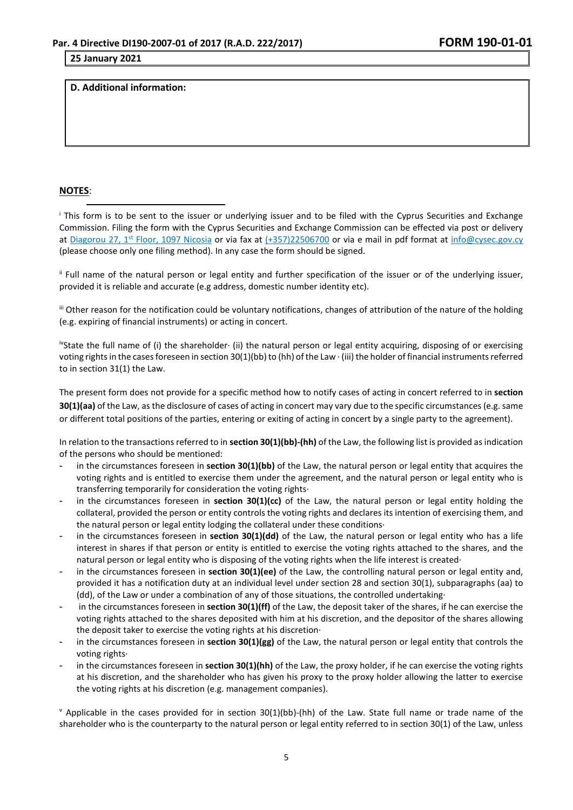#### **25 January 2021**

**D. Additional information:**

#### **NOTES**:

<sup>i</sup> This form is to be sent to the issuer or underlying issuer and to be filed with the Cyprus Securities and Exchange Commission. Filing the form with the Cyprus Securities and Exchange Commission can be effected via post or delivery at Diagorou 27, 1<sup>st</sup> Floor, 1097 Nicosia or via fax at  $(+357)22506700$  or via e mail in pdf format at [info@cysec.gov.cy](mailto:info@cysec.gov.cy) (please choose only one filing method). In any case the form should be signed.

ii Full name of the natural person or legal entity and further specification of the issuer or of the underlying issuer, provided it is reliable and accurate (e.g address, domestic number identity etc).

iii Other reason for the notification could be voluntary notifications, changes of attribution of the nature of the holding (e.g. expiring of financial instruments) or acting in concert.

ivState the full name of (i) the shareholder∙ (ii) the natural person or legal entity acquiring, disposing of or exercising voting rights in the cases foreseen in section 30(1)(bb) to (hh) of the Law ∙ (iii) the holder of financial instruments referred to in section 31(1) the Law.

The present form does not provide for a specific method how to notify cases of acting in concert referred to in **section 30(1)(aa)** of the Law, as the disclosure of cases of acting in concert may vary due to the specific circumstances (e.g. same or different total positions of the parties, entering or exiting of acting in concert by a single party to the agreement).

In relation to the transactions referred to in **section 30(1)(bb)-(hh)** of the Law, the following list is provided as indication of the persons who should be mentioned:

- in the circumstances foreseen in **section 30(1)(bb)** of the Law, the natural person or legal entity that acquires the voting rights and is entitled to exercise them under the agreement, and the natural person or legal entity who is transferring temporarily for consideration the voting rights∙
- in the circumstances foreseen in **section 30(1)(cc)** of the Law, the natural person or legal entity holding the collateral, provided the person or entity controls the voting rights and declares its intention of exercising them, and the natural person or legal entity lodging the collateral under these conditions∙
- in the circumstances foreseen in **section 30(1)(dd)** of the Law, the natural person or legal entity who has a life interest in shares if that person or entity is entitled to exercise the voting rights attached to the shares, and the natural person or legal entity who is disposing of the voting rights when the life interest is created∙
- in the circumstances foreseen in **section 30(1)(ee)** of the Law, the controlling natural person or legal entity and, provided it has a notification duty at an individual level under section 28 and section 30(1), subparagraphs (aa) to (dd), of the Law or under a combination of any of those situations, the controlled undertaking∙
- in the circumstances foreseen in **section 30(1)(ff)** of the Law, the deposit taker of the shares, if he can exercise the voting rights attached to the shares deposited with him at his discretion, and the depositor of the shares allowing the deposit taker to exercise the voting rights at his discretion∙
- in the circumstances foreseen in **section 30(1)(gg)** of the Law, the natural person or legal entity that controls the voting rights∙
- in the circumstances foreseen in **section 30(1)(hh)** of the Law, the proxy holder, if he can exercise the voting rights at his discretion, and the shareholder who has given his proxy to the proxy holder allowing the latter to exercise the voting rights at his discretion (e.g. management companies).

 $\gamma$  Applicable in the cases provided for in section 30(1)(bb)-(hh) of the Law. State full name or trade name of the shareholder who is the counterparty to the natural person or legal entity referred to in section 30(1) of the Law, unless